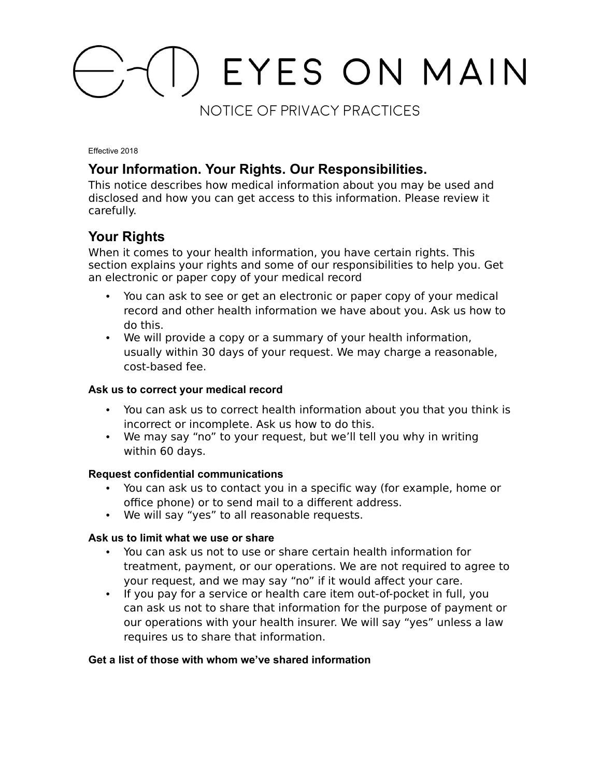# EYES ON MAIN

# Notice of Privacy Practices

Effective 2018

# **Your Information. Your Rights. Our Responsibilities.**

This notice describes how medical information about you may be used and disclosed and how you can get access to this information. Please review it carefully.

# **Your Rights**

When it comes to your health information, you have certain rights. This section explains your rights and some of our responsibilities to help you. Get an electronic or paper copy of your medical record

- You can ask to see or get an electronic or paper copy of your medical record and other health information we have about you. Ask us how to do this.
- We will provide a copy or a summary of your health information, usually within 30 days of your request. We may charge a reasonable, cost-based fee.

# **Ask us to correct your medical record**

- You can ask us to correct health information about you that you think is incorrect or incomplete. Ask us how to do this.
- We may say "no" to your request, but we'll tell you why in writing within 60 days.

# **Request confidential communications**

- You can ask us to contact you in a specific way (for example, home or office phone) or to send mail to a different address.
- We will say "yes" to all reasonable requests.

# **Ask us to limit what we use or share**

- You can ask us not to use or share certain health information for treatment, payment, or our operations. We are not required to agree to your request, and we may say "no" if it would affect your care.
- If you pay for a service or health care item out-of-pocket in full, you can ask us not to share that information for the purpose of payment or our operations with your health insurer. We will say "yes" unless a law requires us to share that information.

# **Get a list of those with whom we've shared information**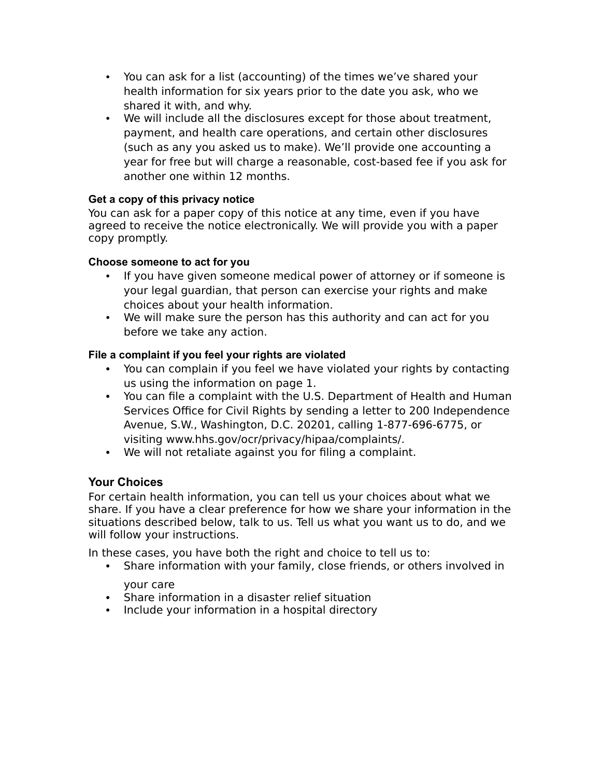- You can ask for a list (accounting) of the times we've shared your health information for six years prior to the date you ask, who we shared it with, and why.
- We will include all the disclosures except for those about treatment, payment, and health care operations, and certain other disclosures (such as any you asked us to make). We'll provide one accounting a year for free but will charge a reasonable, cost-based fee if you ask for another one within 12 months.

# **Get a copy of this privacy notice**

You can ask for a paper copy of this notice at any time, even if you have agreed to receive the notice electronically. We will provide you with a paper copy promptly.

# **Choose someone to act for you**

- If you have given someone medical power of attorney or if someone is your legal guardian, that person can exercise your rights and make choices about your health information.
- We will make sure the person has this authority and can act for you before we take any action.

# **File a complaint if you feel your rights are violated**

- **•** You can complain if you feel we have violated your rights by contacting us using the information on page 1.
- **•** You can file a complaint with the U.S. Department of Health and Human Services Office for Civil Rights by sending a letter to 200 Independence Avenue, S.W., Washington, D.C. 20201, calling 1-877-696-6775, or visiting www.hhs.gov/ocr/privacy/hipaa/complaints/.
- **•** We will not retaliate against you for filing a complaint.

# **Your Choices**

For certain health information, you can tell us your choices about what we share. If you have a clear preference for how we share your information in the situations described below, talk to us. Tell us what you want us to do, and we will follow your instructions.

In these cases, you have both the right and choice to tell us to:

**•** Share information with your family, close friends, or others involved in

# your care

- **•** Share information in a disaster relief situation
- **•** Include your information in a hospital directory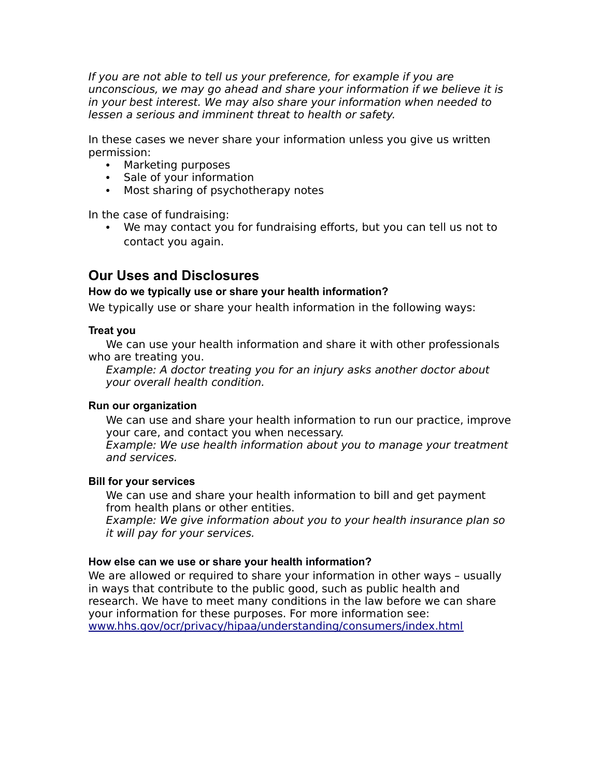If you are not able to tell us your preference, for example if you are unconscious, we may go ahead and share your information if we believe it is in your best interest. We may also share your information when needed to lessen a serious and imminent threat to health or safety.

In these cases we never share your information unless you give us written permission:

- **•** Marketing purposes
- **•** Sale of your information
- **•** Most sharing of psychotherapy notes

In the case of fundraising:

**•** We may contact you for fundraising efforts, but you can tell us not to contact you again.

# **Our Uses and Disclosures**

#### **How do we typically use or share your health information?**

We typically use or share your health information in the following ways:

#### **Treat you**

We can use your health information and share it with other professionals who are treating you.

Example: A doctor treating you for an injury asks another doctor about your overall health condition.

#### **Run our organization**

We can use and share your health information to run our practice, improve your care, and contact you when necessary.

Example: We use health information about you to manage your treatment and services.

#### **Bill for your services**

We can use and share your health information to bill and get payment from health plans or other entities.

Example: We give information about you to your health insurance plan so it will pay for your services.

#### **How else can we use or share your health information?**

We are allowed or required to share your information in other ways – usually in ways that contribute to the public good, such as public health and research. We have to meet many conditions in the law before we can share your information for these purposes. For more information see: [www.hhs.gov/ocr/privacy/hipaa/understanding/consumers/index.html](http://www.hhs.gov/ocr/privacy/hipaa/understanding/consumers/index.html)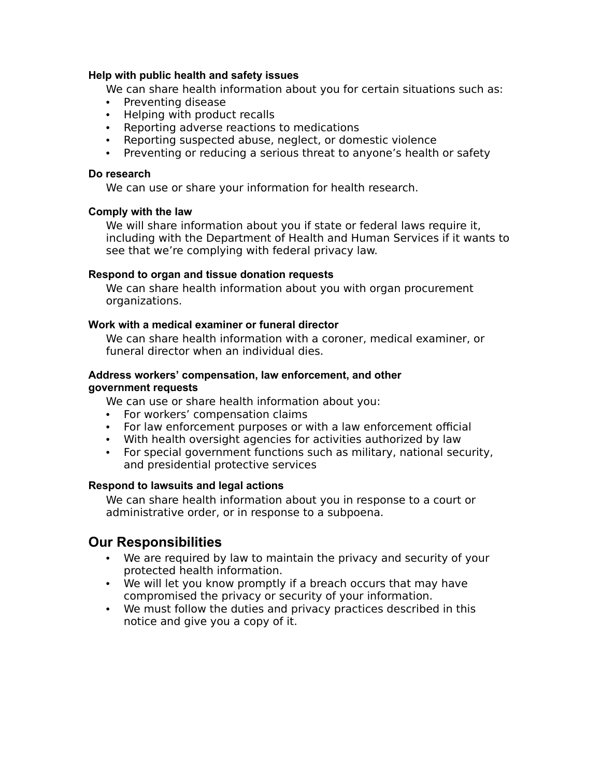#### **Help with public health and safety issues**

We can share health information about you for certain situations such as:

- Preventing disease
- Helping with product recalls
- Reporting adverse reactions to medications
- Reporting suspected abuse, neglect, or domestic violence
- Preventing or reducing a serious threat to anyone's health or safety

#### **Do research**

We can use or share your information for health research.

#### **Comply with the law**

We will share information about you if state or federal laws require it, including with the Department of Health and Human Services if it wants to see that we're complying with federal privacy law.

#### **Respond to organ and tissue donation requests**

We can share health information about you with organ procurement organizations.

#### **Work with a medical examiner or funeral director**

We can share health information with a coroner, medical examiner, or funeral director when an individual dies.

#### **Address workers' compensation, law enforcement, and other government requests**

We can use or share health information about you:

- For workers' compensation claims
- For law enforcement purposes or with a law enforcement official
- With health oversight agencies for activities authorized by law
- For special government functions such as military, national security, and presidential protective services

#### **Respond to lawsuits and legal actions**

We can share health information about you in response to a court or administrative order, or in response to a subpoena.

# **Our Responsibilities**

- We are required by law to maintain the privacy and security of your protected health information.
- We will let you know promptly if a breach occurs that may have compromised the privacy or security of your information.
- We must follow the duties and privacy practices described in this notice and give you a copy of it.